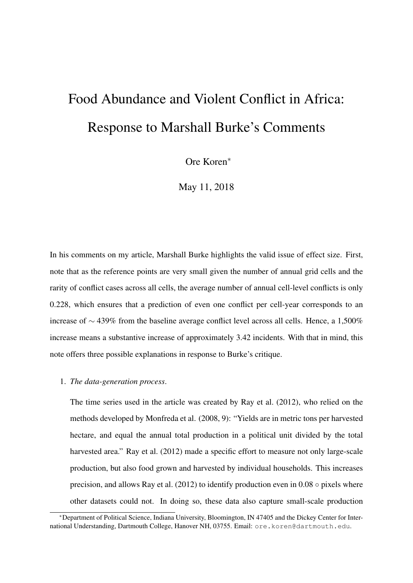## Food Abundance and Violent Conflict in Africa: Response to Marshall Burke's Comments

Ore Koren<sup>∗</sup>

May 11, 2018

In his comments on my article, Marshall Burke highlights the valid issue of effect size. First, note that as the reference points are very small given the number of annual grid cells and the rarity of conflict cases across all cells, the average number of annual cell-level conflicts is only 0.228, which ensures that a prediction of even one conflict per cell-year corresponds to an increase of ∼ 439% from the baseline average conflict level across all cells. Hence, a 1,500% increase means a substantive increase of approximately 3.42 incidents. With that in mind, this note offers three possible explanations in response to Burke's critique.

## 1. *The data-generation process*.

The time series used in the article was created by Ray et al. (2012), who relied on the methods developed by Monfreda et al. (2008, 9): "Yields are in metric tons per harvested hectare, and equal the annual total production in a political unit divided by the total harvested area." Ray et al. (2012) made a specific effort to measure not only large-scale production, but also food grown and harvested by individual households. This increases precision, and allows Ray et al. (2012) to identify production even in  $0.08 \circ$  pixels where other datasets could not. In doing so, these data also capture small-scale production

<sup>∗</sup>Department of Political Science, Indiana University, Bloomington, IN 47405 and the Dickey Center for International Understanding, Dartmouth College, Hanover NH, 03755. Email: ore.koren@dartmouth.edu.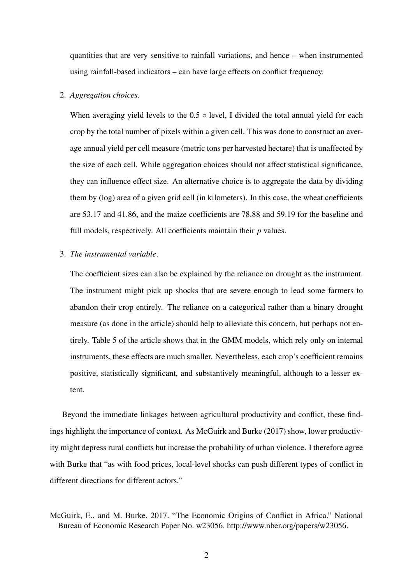quantities that are very sensitive to rainfall variations, and hence – when instrumented using rainfall-based indicators – can have large effects on conflict frequency.

## 2. *Aggregation choices*.

When averaging yield levels to the  $0.5 \circ$  level, I divided the total annual yield for each crop by the total number of pixels within a given cell. This was done to construct an average annual yield per cell measure (metric tons per harvested hectare) that is unaffected by the size of each cell. While aggregation choices should not affect statistical significance, they can influence effect size. An alternative choice is to aggregate the data by dividing them by (log) area of a given grid cell (in kilometers). In this case, the wheat coefficients are 53.17 and 41.86, and the maize coefficients are 78.88 and 59.19 for the baseline and full models, respectively. All coefficients maintain their *p* values.

## 3. *The instrumental variable*.

The coefficient sizes can also be explained by the reliance on drought as the instrument. The instrument might pick up shocks that are severe enough to lead some farmers to abandon their crop entirely. The reliance on a categorical rather than a binary drought measure (as done in the article) should help to alleviate this concern, but perhaps not entirely. Table 5 of the article shows that in the GMM models, which rely only on internal instruments, these effects are much smaller. Nevertheless, each crop's coefficient remains positive, statistically significant, and substantively meaningful, although to a lesser extent.

Beyond the immediate linkages between agricultural productivity and conflict, these findings highlight the importance of context. As McGuirk and Burke (2017) show, lower productivity might depress rural conflicts but increase the probability of urban violence. I therefore agree with Burke that "as with food prices, local-level shocks can push different types of conflict in different directions for different actors."

McGuirk, E., and M. Burke. 2017. "The Economic Origins of Conflict in Africa." National Bureau of Economic Research Paper No. w23056. http://www.nber.org/papers/w23056.